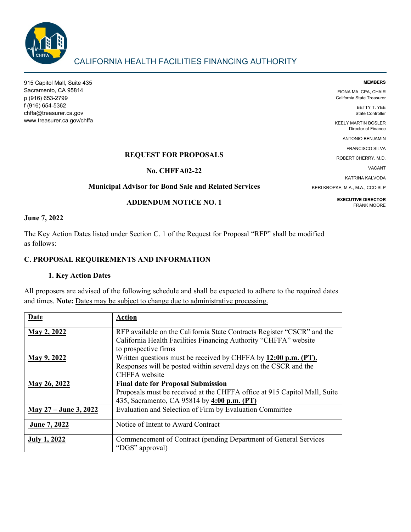

# CALIFORNIA HEALTH FACILITIES FINANCING AUTHORITY

915 Capitol Mall, Suite 435 Sacramento, CA 95814 p (916) 653-2799 f (916) 654-5362 chffa@treasurer.ca.gov www.treasurer.ca.gov/chffa

#### **MEMBERS** FIONA MA, CPA, CHAIR

California State Treasurer

BETTY T. YEE State Controller

KEELY MARTIN BOSLER Director of Finance

ANTONIO BENJAMIN

FRANCISCO SILVA

ROBERT CHERRY, M.D.

VACANT

KATRINA KALVODA

KERI KROPKE, M.A., M.A., CCC-SLP

**EXECUTIVE DIRECTOR** FRANK MOORE

# **REQUEST FOR PROPOSALS**

**No. CHFFA02-22**

# **Municipal Advisor for Bond Sale and Related Services**

### **ADDENDUM NOTICE NO. 1**

### **June 7, 2022**

The Key Action Dates listed under Section C. 1 of the Request for Proposal "RFP" shall be modified as follows:

### **C. PROPOSAL REQUIREMENTS AND INFORMATION**

# **1. Key Action Dates**

All proposers are advised of the following schedule and shall be expected to adhere to the required dates and times. **Note:** Dates may be subject to change due to administrative processing.

| Date                  | <b>Action</b>                                                                                                                               |
|-----------------------|---------------------------------------------------------------------------------------------------------------------------------------------|
| May 2, 2022           | RFP available on the California State Contracts Register "CSCR" and the<br>California Health Facilities Financing Authority "CHFFA" website |
|                       | to prospective firms                                                                                                                        |
| May 9, 2022           | Written questions must be received by CHFFA by 12:00 p.m. (PT).                                                                             |
|                       | Responses will be posted within several days on the CSCR and the                                                                            |
|                       | CHFFA website                                                                                                                               |
| May 26, 2022          | <b>Final date for Proposal Submission</b>                                                                                                   |
|                       | Proposals must be received at the CHFFA office at 915 Capitol Mall, Suite                                                                   |
|                       | 435, Sacramento, CA 95814 by 4:00 p.m. (PT)                                                                                                 |
| May 27 – June 3, 2022 | Evaluation and Selection of Firm by Evaluation Committee                                                                                    |
| June 7, 2022          | Notice of Intent to Award Contract                                                                                                          |
| <b>July 1, 2022</b>   | Commencement of Contract (pending Department of General Services<br>"DGS" approval)                                                         |